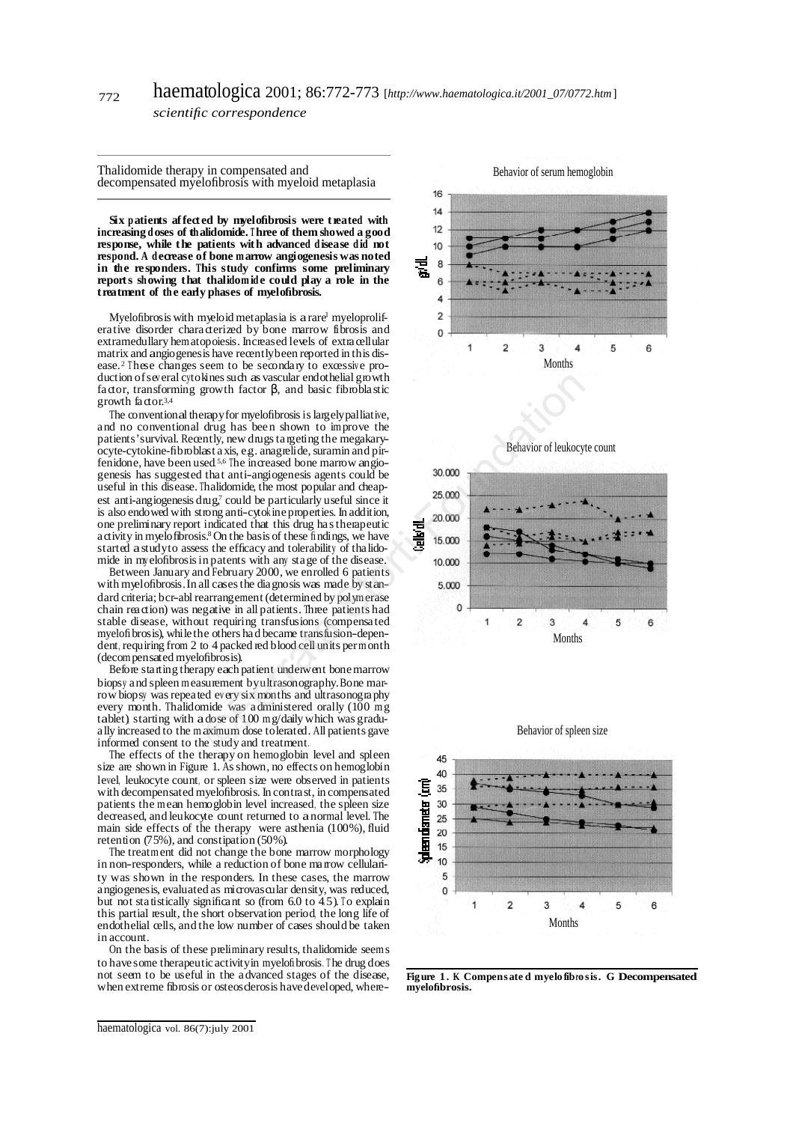Thalidomide therapy in compensated and decompensated myelofibrosis with myeloid metaplasia

**Six patients affect ed by myelofibrosis were t reated with increasing doses of thalidomide. <sup>T</sup> hree of them showed a good response, while the patients with advanced disease did not respond. A decrease of bone m arrow angiogenesis was noted in the re sponders. This study confirms some preliminary reports showing that thalidom ide could play a role in the treatment** of the early phases of myelofibrosis.

Myelofibrosis with myeloid metaplasia is a rare<sup>1</sup> myeloprolifera tive disorder chara cterized by bone marrow fibrosis and extramedullary hematopoiesis. Increased levels of extra cellular matrix and angiogenesis have recentlybeen reported in this disease.<sup>2</sup> These changes seem to be secondary to excessive production of several cytokines such as vascular endothelial growth fa ctor, transforming growth factor β, and basic fibrobla stic growth factor.<sup>3,4</sup>

The conventional therapy for myelofibrosis is largely palliative, and no conventional drug has been shown to improve the patients' survival. Recently, new drugs targeting the megakaryocyte-cytokine-fibroblast axis, e.g. anagrelide, suramin and pirfenidone, have been used<sup>5,6</sup> The increased bone marrow angiogenesis has suggested that anti-angiogenesis agents could be useful in this disease. Thalidomide, the most popular and cheapest anti-angiogenesis drug, 7 could be particularly useful since it is also endowed with strong anti-cytok ineproperties. In addition, one preliminary report indicated that this drug ha stherapeutic a ctivity in myelofibrosis.<sup>8</sup> On the basis of these findings, we have started astudyto assess the efficacy and tolerability of tha lidomide in my elofibrosisin patents with any stage of the disease.

Between January and February 2000, we enrolled 6 patients with myelofibrosis.In all casesthe diagnosis was made by standard criteria; bcr-abl rearrangement (determined by polymerase chain rea ction) was negative in all patients. Three patients had stable disease, without requiring transfusions (compensa ted myel of brosis), while the others had became transfusion-dependent, requiring from 2 to 4 packed red blood cell units permonth (decompensated myelofibrosis).

Before sta rting therapy each patient underwent bonemarrow biopsy and spleen measurement byultrasonography.Bone marrow biopsy wasrepea ted ev ery six months and ultrasonography every month. Thalidomide was administered orally (100 mg tablet), starting with adose of 100 mg/daily which was gradua lly increased to the maximum dose tolerated. All patients gave informed consent to the study and treatment.

The effects of the therapy on hemoglobin level and spleen size are shown in Figure 1. As shown, no effects on hemoglobin level, leukocyte count, or spleen size were observed in patients with decompensated myelofibrosis. In contra st, in compensated patients the mean hemoglobin level increased, the spleen size decreased, and leukocyte count returned to anormal level. The main side effects of the therapy were asthenia  $(100\%)$ , fluid retention (75%), and constipation (50%).

The treatment did not change the bone marrow morphology in non-responders, while a reduction of bone ma rrow cellulanty was shown in the responders. In these cases, the marrow angiogenesis, evaluated as microvascular density, was reduced, but not statistically significant so (from  $6.0$  to  $4.5$ ). To explain this partial result, the short observation period, the long life of endothelial cells, and the low number of cases should be taken in account.

On the basis of these preliminary results, thalidomide seems to have some therapeutic activityin myelofibrosis. <sup>T</sup> he drug does not seem to be useful in the advanced stages of the disease, when extreme fibrosis or osteosclerosis havedeveloped, where-











**Figure** 1. **K** Compensated myelofibrosis. G Decompensated **myelofibrosis.**